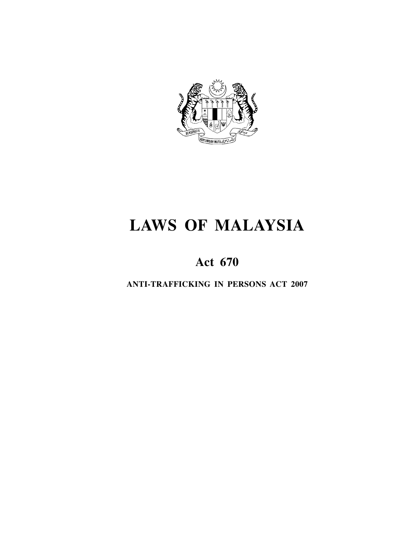

# **LAWS OF MALAYSIA**

## **Act 670**

**ANTI-TRAFFICKING IN PERSONS ACT 2007**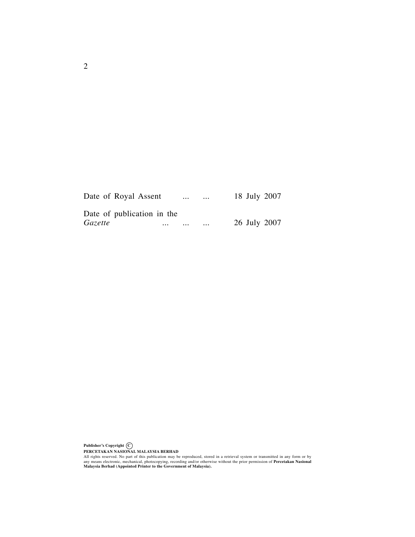| Date of Royal Assent       |          | $\cdots$ | $\cdots$ | 18 July 2007 |  |
|----------------------------|----------|----------|----------|--------------|--|
| Date of publication in the |          |          |          |              |  |
| <i>Gazette</i>             | $\cdots$ | $\cdots$ | $\cdots$ | 26 July 2007 |  |

**Publisher's Copyright C** PERCETAKAN NASIONAL MALAYSIA BERHAD<br>All rights reserved. No part of this publication may be reproduced, stored in a retrieval system or transmitted in any form or by<br>any means electronic, mechanical, photocopying, recordin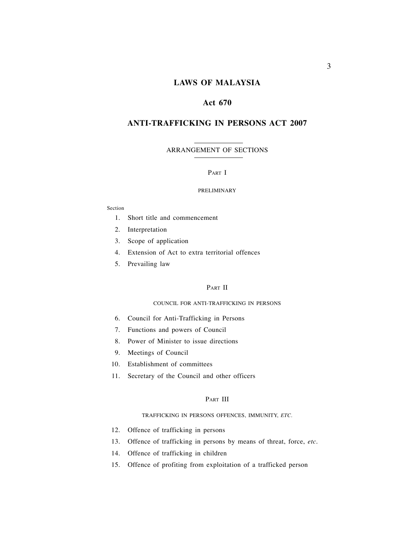## **LAWS OF MALAYSIA**

## **Act 670**

## **ANTI-TRAFFICKING IN PERSONS ACT 2007**

#### ARRANGEMENT OF SECTIONS

#### PART I

#### PRELIMINARY

#### Section

- 1. Short title and commencement
- 2. Interpretation
- 3. Scope of application
- 4. Extension of Act to extra territorial offences
- 5. Prevailing law

## PART II

#### COUNCIL FOR ANTI-TRAFFICKING IN PERSONS

- 6. Council for Anti-Trafficking in Persons
- 7. Functions and powers of Council
- 8. Power of Minister to issue directions
- 9. Meetings of Council
- 10. Establishment of committees
- 11. Secretary of the Council and other officers

#### PART III

#### TRAFFICKING IN PERSONS OFFENCES, IMMUNITY, *ETC.*

- 12. Offence of trafficking in persons
- 13. Offence of trafficking in persons by means of threat, force, *etc.*
- 14. Offence of trafficking in children
- 15. Offence of profiting from exploitation of a trafficked person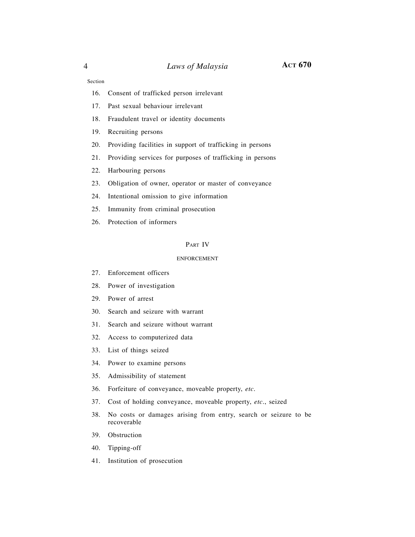Section

- 16. Consent of trafficked person irrelevant
- 17. Past sexual behaviour irrelevant
- 18. Fraudulent travel or identity documents
- 19. Recruiting persons
- 20. Providing facilities in support of trafficking in persons
- 21. Providing services for purposes of trafficking in persons
- 22. Harbouring persons
- 23. Obligation of owner, operator or master of conveyance
- 24. Intentional omission to give information
- 25. Immunity from criminal prosecution
- 26. Protection of informers

#### PART IV

#### ENFORCEMENT

- 27. Enforcement officers
- 28. Power of investigation
- 29. Power of arrest
- 30. Search and seizure with warrant
- 31. Search and seizure without warrant
- 32. Access to computerized data
- 33. List of things seized
- 34. Power to examine persons
- 35. Admissibility of statement
- 36. Forfeiture of conveyance, moveable property, *etc.*
- 37. Cost of holding conveyance, moveable property, *etc*., seized
- 38. No costs or damages arising from entry, search or seizure to be recoverable
- 39. Obstruction
- 40. Tipping-off
- 41. Institution of prosecution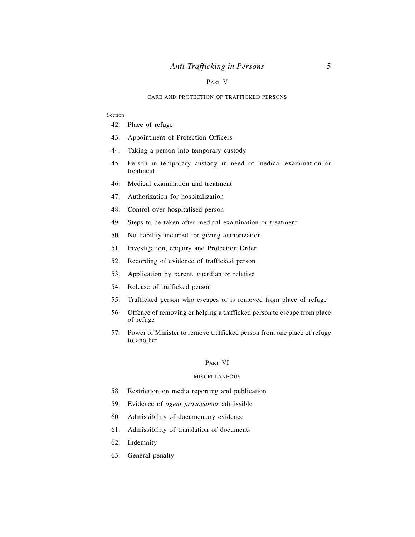#### PART V

#### CARE AND PROTECTION OF TRAFFICKED PERSONS

#### Section

- 42. Place of refuge
- 43. Appointment of Protection Officers
- 44. Taking a person into temporary custody
- 45. Person in temporary custody in need of medical examination or treatment
- 46. Medical examination and treatment
- 47. Authorization for hospitalization
- 48. Control over hospitalised person
- 49. Steps to be taken after medical examination or treatment
- 50. No liability incurred for giving authorization
- 51. Investigation, enquiry and Protection Order
- 52. Recording of evidence of trafficked person
- 53. Application by parent, guardian or relative
- 54. Release of trafficked person
- 55. Trafficked person who escapes or is removed from place of refuge
- 56. Offence of removing or helping a trafficked person to escape from place of refuge
- 57. Power of Minister to remove trafficked person from one place of refuge to another

#### PART VI

#### **MISCELLANEOUS**

- 58. Restriction on media reporting and publication
- 59. Evidence of *agent provocateur* admissible
- 60. Admissibility of documentary evidence
- 61. Admissibility of translation of documents
- 62. Indemnity
- 63. General penalty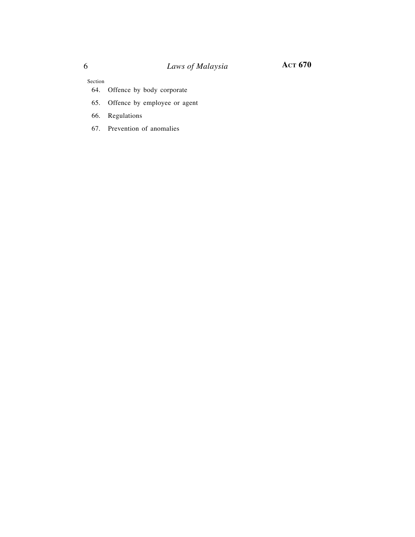Section

- 64. Offence by body corporate
- 65. Offence by employee or agent
- 66. Regulations
- 67. Prevention of anomalies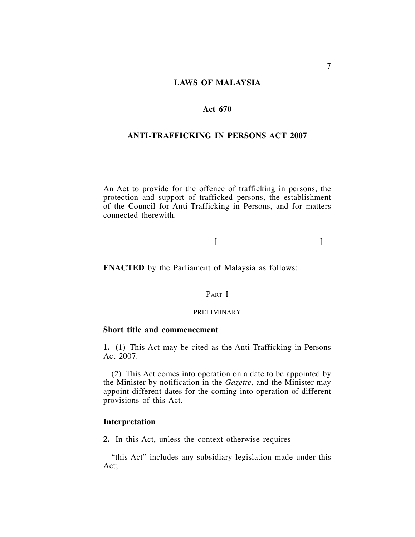## **LAWS OF MALAYSIA**

## **Act 670**

## **ANTI-TRAFFICKING IN PERSONS ACT 2007**

An Act to provide for the offence of trafficking in persons, the protection and support of trafficked persons, the establishment of the Council for Anti-Trafficking in Persons, and for matters connected therewith.

## $[$

**ENACTED** by the Parliament of Malaysia as follows:

## PART I

#### PRELIMINARY

## **Short title and commencement**

**1.** (1) This Act may be cited as the Anti-Trafficking in Persons Act 2007.

(2) This Act comes into operation on a date to be appointed by the Minister by notification in the *Gazette*, and the Minister may appoint different dates for the coming into operation of different provisions of this Act.

## **Interpretation**

**2.** In this Act, unless the context otherwise requires—

"this Act" includes any subsidiary legislation made under this Act;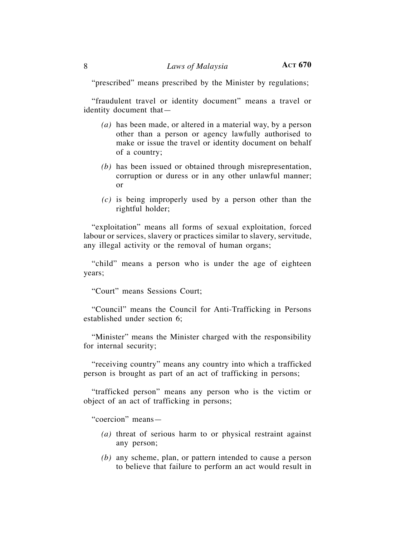"prescribed" means prescribed by the Minister by regulations;

"fraudulent travel or identity document" means a travel or identity document that—

- *(a)* has been made, or altered in a material way, by a person other than a person or agency lawfully authorised to make or issue the travel or identity document on behalf of a country;
- *(b)* has been issued or obtained through misrepresentation, corruption or duress or in any other unlawful manner; or
- *(c)* is being improperly used by a person other than the rightful holder;

"exploitation" means all forms of sexual exploitation, forced labour or services, slavery or practices similar to slavery, servitude, any illegal activity or the removal of human organs;

"child" means a person who is under the age of eighteen years;

"Court" means Sessions Court;

"Council" means the Council for Anti-Trafficking in Persons established under section 6;

"Minister" means the Minister charged with the responsibility for internal security;

"receiving country" means any country into which a trafficked person is brought as part of an act of trafficking in persons;

"trafficked person" means any person who is the victim or object of an act of trafficking in persons;

"coercion" means—

- *(a)* threat of serious harm to or physical restraint against any person;
- *(b)* any scheme, plan, or pattern intended to cause a person to believe that failure to perform an act would result in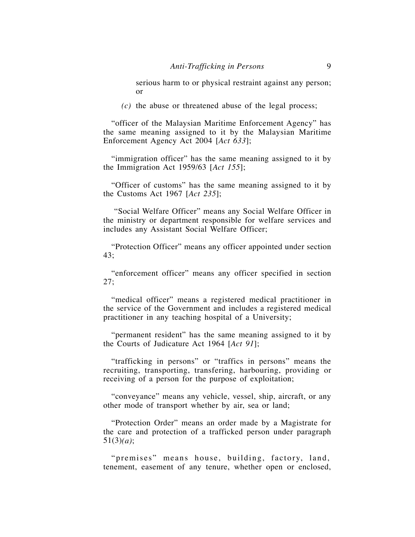serious harm to or physical restraint against any person; or

*(c)* the abuse or threatened abuse of the legal process;

"officer of the Malaysian Maritime Enforcement Agency" has the same meaning assigned to it by the Malaysian Maritime Enforcement Agency Act 2004 [*Act 633*];

"immigration officer" has the same meaning assigned to it by the Immigration Act 1959/63 [*Act 155*];

"Officer of customs" has the same meaning assigned to it by the Customs Act 1967 [*Act 235*];

 "Social Welfare Officer" means any Social Welfare Officer in the ministry or department responsible for welfare services and includes any Assistant Social Welfare Officer;

"Protection Officer" means any officer appointed under section 43;

"enforcement officer" means any officer specified in section 27;

"medical officer" means a registered medical practitioner in the service of the Government and includes a registered medical practitioner in any teaching hospital of a University;

"permanent resident" has the same meaning assigned to it by the Courts of Judicature Act 1964 [*Act 91*];

"trafficking in persons" or "traffics in persons" means the recruiting, transporting, transfering, harbouring, providing or receiving of a person for the purpose of exploitation;

"conveyance" means any vehicle, vessel, ship, aircraft, or any other mode of transport whether by air, sea or land;

"Protection Order" means an order made by a Magistrate for the care and protection of a trafficked person under paragraph 51(3)*(a)*;

"premises" means house, building, factory, land, tenement, easement of any tenure, whether open or enclosed,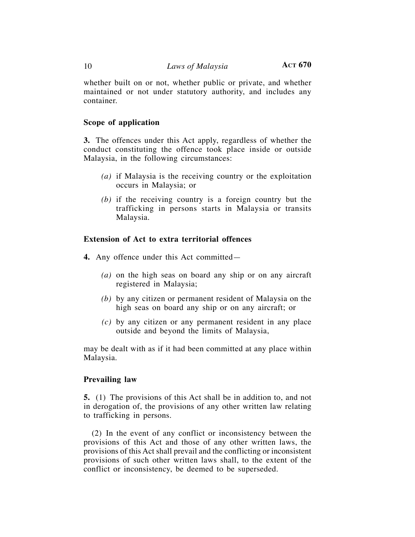whether built on or not, whether public or private, and whether maintained or not under statutory authority, and includes any container.

## **Scope of application**

**3.** The offences under this Act apply, regardless of whether the conduct constituting the offence took place inside or outside Malaysia, in the following circumstances:

- *(a)* if Malaysia is the receiving country or the exploitation occurs in Malaysia; or
- *(b)* if the receiving country is a foreign country but the trafficking in persons starts in Malaysia or transits Malaysia.

## **Extension of Act to extra territorial offences**

- **4.** Any offence under this Act committed—
	- *(a)* on the high seas on board any ship or on any aircraft registered in Malaysia;
	- *(b)* by any citizen or permanent resident of Malaysia on the high seas on board any ship or on any aircraft; or
	- *(c)* by any citizen or any permanent resident in any place outside and beyond the limits of Malaysia,

may be dealt with as if it had been committed at any place within Malaysia.

## **Prevailing law**

**5.** (1) The provisions of this Act shall be in addition to, and not in derogation of, the provisions of any other written law relating to trafficking in persons.

(2) In the event of any conflict or inconsistency between the provisions of this Act and those of any other written laws, the provisions of this Act shall prevail and the conflicting or inconsistent provisions of such other written laws shall, to the extent of the conflict or inconsistency, be deemed to be superseded.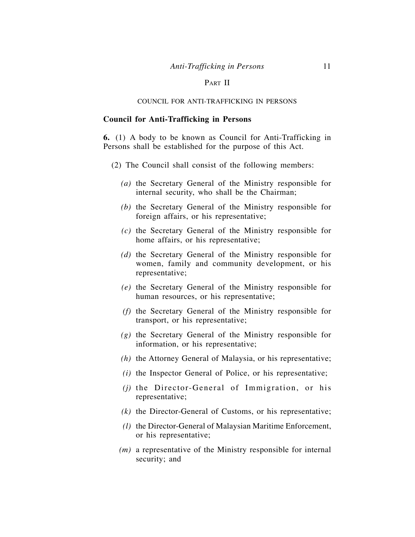## PART II

## COUNCIL FOR ANTI-TRAFFICKING IN PERSONS

## **Council for Anti-Trafficking in Persons**

**6.** (1) A body to be known as Council for Anti-Trafficking in Persons shall be established for the purpose of this Act.

- (2) The Council shall consist of the following members:
	- *(a)* the Secretary General of the Ministry responsible for internal security, who shall be the Chairman;
	- *(b)* the Secretary General of the Ministry responsible for foreign affairs, or his representative;
	- *(c)* the Secretary General of the Ministry responsible for home affairs, or his representative;
	- *(d)* the Secretary General of the Ministry responsible for women, family and community development, or his representative;
	- *(e)* the Secretary General of the Ministry responsible for human resources, or his representative;
	- *(f)* the Secretary General of the Ministry responsible for transport, or his representative;
	- *(g)* the Secretary General of the Ministry responsible for information, or his representative;
	- *(h)* the Attorney General of Malaysia, or his representative;
	- *(i)* the Inspector General of Police, or his representative;
	- *(j)* the Director-General of Immigration, or his representative;
	- *(k)* the Director-General of Customs, or his representative;
	- *(l)* the Director-General of Malaysian Maritime Enforcement, or his representative;
	- *(m)* a representative of the Ministry responsible for internal security; and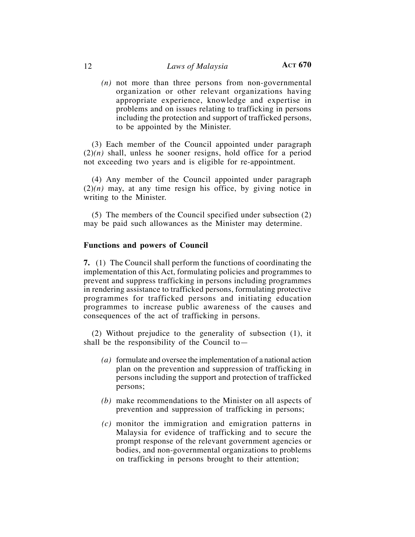*(n)* not more than three persons from non-governmental organization or other relevant organizations having appropriate experience, knowledge and expertise in problems and on issues relating to trafficking in persons including the protection and support of trafficked persons, to be appointed by the Minister.

(3) Each member of the Council appointed under paragraph  $(2)(n)$  shall, unless he sooner resigns, hold office for a period not exceeding two years and is eligible for re-appointment.

(4) Any member of the Council appointed under paragraph  $(2)(n)$  may, at any time resign his office, by giving notice in writing to the Minister.

(5) The members of the Council specified under subsection (2) may be paid such allowances as the Minister may determine.

## **Functions and powers of Council**

**7.** (1) The Council shall perform the functions of coordinating the implementation of this Act, formulating policies and programmes to prevent and suppress trafficking in persons including programmes in rendering assistance to trafficked persons, formulating protective programmes for trafficked persons and initiating education programmes to increase public awareness of the causes and consequences of the act of trafficking in persons.

(2) Without prejudice to the generality of subsection (1), it shall be the responsibility of the Council to—

- *(a)* formulate and oversee the implementation of a national action plan on the prevention and suppression of trafficking in persons including the support and protection of trafficked persons;
- *(b)* make recommendations to the Minister on all aspects of prevention and suppression of trafficking in persons;
- *(c)* monitor the immigration and emigration patterns in Malaysia for evidence of trafficking and to secure the prompt response of the relevant government agencies or bodies, and non-governmental organizations to problems on trafficking in persons brought to their attention;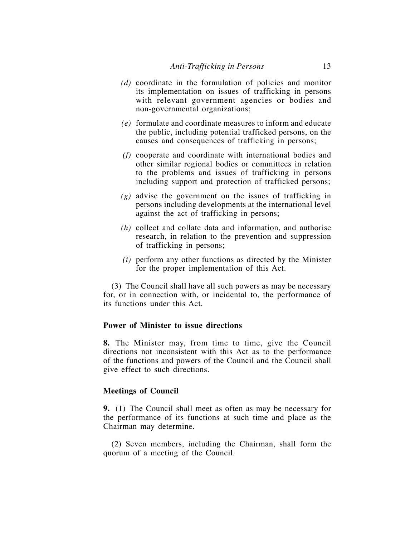- *(d)* coordinate in the formulation of policies and monitor its implementation on issues of trafficking in persons with relevant government agencies or bodies and non-governmental organizations;
- *(e)* formulate and coordinate measures to inform and educate the public, including potential trafficked persons, on the causes and consequences of trafficking in persons;
- *(f)* cooperate and coordinate with international bodies and other similar regional bodies or committees in relation to the problems and issues of trafficking in persons including support and protection of trafficked persons;
- *(g)* advise the government on the issues of trafficking in persons including developments at the international level against the act of trafficking in persons;
- *(h)* collect and collate data and information, and authorise research, in relation to the prevention and suppression of trafficking in persons;
- *(i)* perform any other functions as directed by the Minister for the proper implementation of this Act.

(3) The Council shall have all such powers as may be necessary for, or in connection with, or incidental to, the performance of its functions under this Act.

## **Power of Minister to issue directions**

**8.** The Minister may, from time to time, give the Council directions not inconsistent with this Act as to the performance of the functions and powers of the Council and the Council shall give effect to such directions.

## **Meetings of Council**

**9.** (1) The Council shall meet as often as may be necessary for the performance of its functions at such time and place as the Chairman may determine.

(2) Seven members, including the Chairman, shall form the quorum of a meeting of the Council.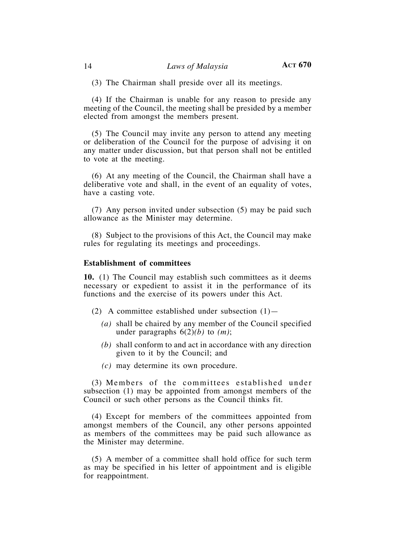(3) The Chairman shall preside over all its meetings.

(4) If the Chairman is unable for any reason to preside any meeting of the Council, the meeting shall be presided by a member elected from amongst the members present.

(5) The Council may invite any person to attend any meeting or deliberation of the Council for the purpose of advising it on any matter under discussion, but that person shall not be entitled to vote at the meeting.

(6) At any meeting of the Council, the Chairman shall have a deliberative vote and shall, in the event of an equality of votes, have a casting vote.

(7) Any person invited under subsection (5) may be paid such allowance as the Minister may determine.

(8) Subject to the provisions of this Act, the Council may make rules for regulating its meetings and proceedings.

#### **Establishment of committees**

**10.** (1) The Council may establish such committees as it deems necessary or expedient to assist it in the performance of its functions and the exercise of its powers under this Act.

- (2) A committee established under subsection  $(1)$ 
	- *(a)* shall be chaired by any member of the Council specified under paragraphs  $6(2)(b)$  to  $(m)$ ;
	- *(b)* shall conform to and act in accordance with any direction given to it by the Council; and
	- *(c)* may determine its own procedure.

(3) Members of the committees established under subsection (1) may be appointed from amongst members of the Council or such other persons as the Council thinks fit.

(4) Except for members of the committees appointed from amongst members of the Council, any other persons appointed as members of the committees may be paid such allowance as the Minister may determine.

(5) A member of a committee shall hold office for such term as may be specified in his letter of appointment and is eligible for reappointment.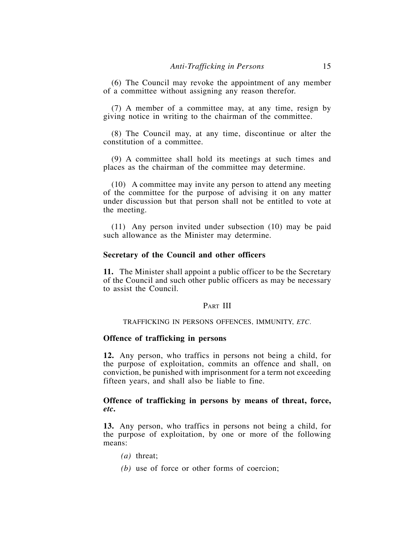(6) The Council may revoke the appointment of any member of a committee without assigning any reason therefor.

(7) A member of a committee may, at any time, resign by giving notice in writing to the chairman of the committee.

(8) The Council may, at any time, discontinue or alter the constitution of a committee.

(9) A committee shall hold its meetings at such times and places as the chairman of the committee may determine.

(10) A committee may invite any person to attend any meeting of the committee for the purpose of advising it on any matter under discussion but that person shall not be entitled to vote at the meeting.

(11) Any person invited under subsection (10) may be paid such allowance as the Minister may determine.

## **Secretary of the Council and other officers**

**11.** The Minister shall appoint a public officer to be the Secretary of the Council and such other public officers as may be necessary to assist the Council.

#### PART III

#### TRAFFICKING IN PERSONS OFFENCES, IMMUNITY, *ETC*.

#### **Offence of trafficking in persons**

**12.** Any person, who traffics in persons not being a child, for the purpose of exploitation, commits an offence and shall, on conviction, be punished with imprisonment for a term not exceeding fifteen years, and shall also be liable to fine.

## **Offence of trafficking in persons by means of threat, force,**  *etc***.**

**13.** Any person, who traffics in persons not being a child, for the purpose of exploitation, by one or more of the following means:

- *(a)* threat;
- *(b)* use of force or other forms of coercion;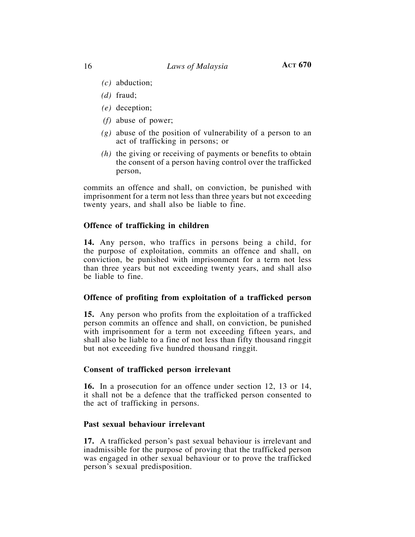- *(c)* abduction;
- *(d)* fraud;
- *(e)* deception;
- *(f)* abuse of power;
- *(g)* abuse of the position of vulnerability of a person to an act of trafficking in persons; or
- *(h)* the giving or receiving of payments or benefits to obtain the consent of a person having control over the trafficked person,

commits an offence and shall, on conviction, be punished with imprisonment for a term not less than three years but not exceeding twenty years, and shall also be liable to fine.

## **Offence of trafficking in children**

**14.** Any person, who traffics in persons being a child, for the purpose of exploitation, commits an offence and shall, on conviction, be punished with imprisonment for a term not less than three years but not exceeding twenty years, and shall also be liable to fine.

## **Offence of profiting from exploitation of a trafficked person**

**15.** Any person who profits from the exploitation of a trafficked person commits an offence and shall, on conviction, be punished with imprisonment for a term not exceeding fifteen years, and shall also be liable to a fine of not less than fifty thousand ringgit but not exceeding five hundred thousand ringgit.

## **Consent of trafficked person irrelevant**

**16.** In a prosecution for an offence under section 12, 13 or 14, it shall not be a defence that the trafficked person consented to the act of trafficking in persons.

## **Past sexual behaviour irrelevant**

**17.** A trafficked person's past sexual behaviour is irrelevant and inadmissible for the purpose of proving that the trafficked person was engaged in other sexual behaviour or to prove the trafficked person's sexual predisposition.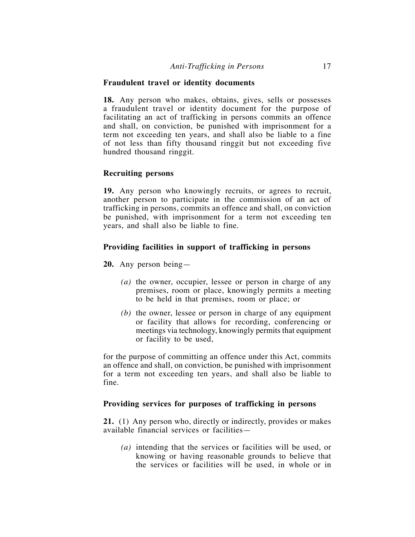## **Fraudulent travel or identity documents**

**18.** Any person who makes, obtains, gives, sells or possesses a fraudulent travel or identity document for the purpose of facilitating an act of trafficking in persons commits an offence and shall, on conviction, be punished with imprisonment for a term not exceeding ten years, and shall also be liable to a fine of not less than fifty thousand ringgit but not exceeding five hundred thousand ringgit.

#### **Recruiting persons**

**19.** Any person who knowingly recruits, or agrees to recruit, another person to participate in the commission of an act of trafficking in persons, commits an offence and shall, on conviction be punished, with imprisonment for a term not exceeding ten years, and shall also be liable to fine.

#### **Providing facilities in support of trafficking in persons**

**20.** Any person being—

- *(a)* the owner, occupier, lessee or person in charge of any premises, room or place, knowingly permits a meeting to be held in that premises, room or place; or
- *(b)* the owner, lessee or person in charge of any equipment or facility that allows for recording, conferencing or meetings via technology, knowingly permits that equipment or facility to be used,

for the purpose of committing an offence under this Act, commits an offence and shall, on conviction, be punished with imprisonment for a term not exceeding ten years, and shall also be liable to fine.

#### **Providing services for purposes of trafficking in persons**

**21.** (1) Any person who, directly or indirectly, provides or makes available financial services or facilities—

*(a)* intending that the services or facilities will be used, or knowing or having reasonable grounds to believe that the services or facilities will be used, in whole or in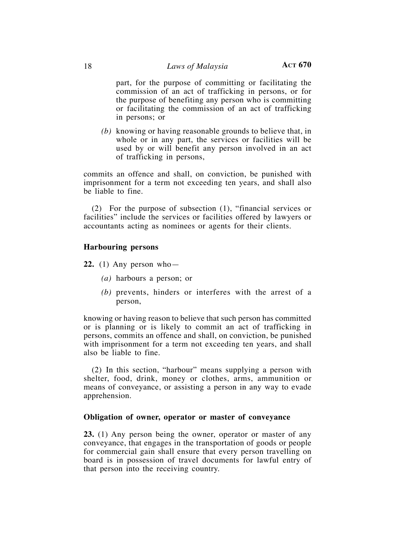part, for the purpose of committing or facilitating the commission of an act of trafficking in persons, or for the purpose of benefiting any person who is committing or facilitating the commission of an act of trafficking in persons; or

*(b)* knowing or having reasonable grounds to believe that, in whole or in any part, the services or facilities will be used by or will benefit any person involved in an act of trafficking in persons,

commits an offence and shall, on conviction, be punished with imprisonment for a term not exceeding ten years, and shall also be liable to fine.

(2) For the purpose of subsection (1), "financial services or facilities" include the services or facilities offered by lawyers or accountants acting as nominees or agents for their clients.

## **Harbouring persons**

**22.** (1) Any person who—

- *(a)* harbours a person; or
- *(b)* prevents, hinders or interferes with the arrest of a person,

knowing or having reason to believe that such person has committed or is planning or is likely to commit an act of trafficking in persons, commits an offence and shall, on conviction, be punished with imprisonment for a term not exceeding ten years, and shall also be liable to fine.

(2) In this section, "harbour" means supplying a person with shelter, food, drink, money or clothes, arms, ammunition or means of conveyance, or assisting a person in any way to evade apprehension.

#### **Obligation of owner, operator or master of conveyance**

**23.** (1) Any person being the owner, operator or master of any conveyance, that engages in the transportation of goods or people for commercial gain shall ensure that every person travelling on board is in possession of travel documents for lawful entry of that person into the receiving country.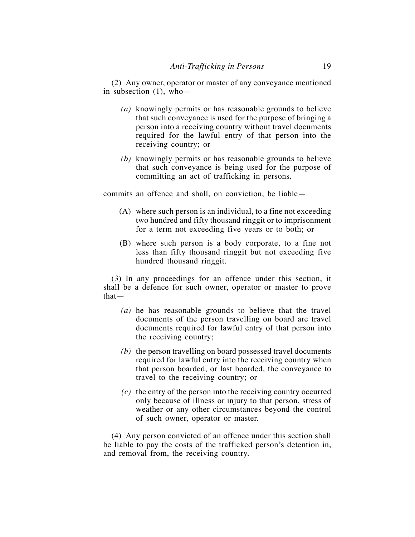(2) Any owner, operator or master of any conveyance mentioned in subsection (1), who—

- *(a)* knowingly permits or has reasonable grounds to believe that such conveyance is used for the purpose of bringing a person into a receiving country without travel documents required for the lawful entry of that person into the receiving country; or
- *(b)* knowingly permits or has reasonable grounds to believe that such conveyance is being used for the purpose of committing an act of trafficking in persons*,*

commits an offence and shall, on conviction, be liable—

- (A) where such person is an individual, to a fine not exceeding two hundred and fifty thousand ringgit or to imprisonment for a term not exceeding five years or to both; or
- (B) where such person is a body corporate, to a fine not less than fifty thousand ringgit but not exceeding five hundred thousand ringgit.

(3) In any proceedings for an offence under this section, it shall be a defence for such owner, operator or master to prove that—

- *(a)* he has reasonable grounds to believe that the travel documents of the person travelling on board are travel documents required for lawful entry of that person into the receiving country;
- *(b)* the person travelling on board possessed travel documents required for lawful entry into the receiving country when that person boarded, or last boarded, the conveyance to travel to the receiving country; or
- *(c)* the entry of the person into the receiving country occurred only because of illness or injury to that person, stress of weather or any other circumstances beyond the control of such owner, operator or master.

(4) Any person convicted of an offence under this section shall be liable to pay the costs of the trafficked person's detention in, and removal from, the receiving country.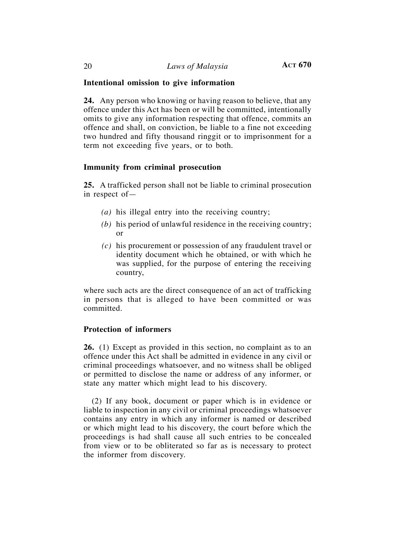## **Intentional omission to give information**

**24.** Any person who knowing or having reason to believe, that any offence under this Act has been or will be committed, intentionally omits to give any information respecting that offence, commits an offence and shall, on conviction, be liable to a fine not exceeding two hundred and fifty thousand ringgit or to imprisonment for a term not exceeding five years, or to both.

## **Immunity from criminal prosecution**

**25.** A trafficked person shall not be liable to criminal prosecution in respect of—

- *(a)* his illegal entry into the receiving country;
- *(b)* his period of unlawful residence in the receiving country; or
- *(c)* his procurement or possession of any fraudulent travel or identity document which he obtained, or with which he was supplied, for the purpose of entering the receiving country,

where such acts are the direct consequence of an act of trafficking in persons that is alleged to have been committed or was committed.

## **Protection of informers**

**26.** (1) Except as provided in this section, no complaint as to an offence under this Act shall be admitted in evidence in any civil or criminal proceedings whatsoever, and no witness shall be obliged or permitted to disclose the name or address of any informer, or state any matter which might lead to his discovery.

(2) If any book, document or paper which is in evidence or liable to inspection in any civil or criminal proceedings whatsoever contains any entry in which any informer is named or described or which might lead to his discovery, the court before which the proceedings is had shall cause all such entries to be concealed from view or to be obliterated so far as is necessary to protect the informer from discovery.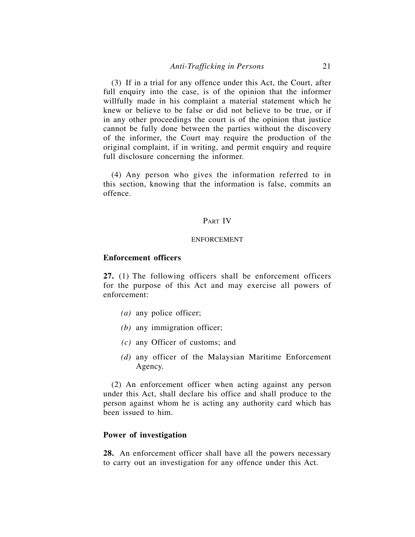(3) If in a trial for any offence under this Act, the Court, after full enquiry into the case, is of the opinion that the informer willfully made in his complaint a material statement which he knew or believe to be false or did not believe to be true, or if in any other proceedings the court is of the opinion that justice cannot be fully done between the parties without the discovery of the informer, the Court may require the production of the original complaint, if in writing, and permit enquiry and require full disclosure concerning the informer.

(4) Any person who gives the information referred to in this section, knowing that the information is false, commits an offence.

## PART IV

#### ENFORCEMENT

## **Enforcement officers**

**27.** (1) The following officers shall be enforcement officers for the purpose of this Act and may exercise all powers of enforcement:

- *(a)* any police officer;
- *(b)* any immigration officer;
- *(c)* any Officer of customs; and
- *(d)* any officer of the Malaysian Maritime Enforcement Agency.

(2) An enforcement officer when acting against any person under this Act, shall declare his office and shall produce to the person against whom he is acting any authority card which has been issued to him.

## **Power of investigation**

**28.** An enforcement officer shall have all the powers necessary to carry out an investigation for any offence under this Act.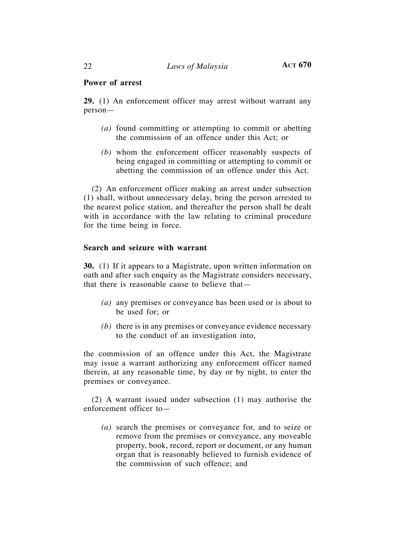## **Power of arrest**

**29.** (1) An enforcement officer may arrest without warrant any person—

- *(a)* found committing or attempting to commit or abetting the commission of an offence under this Act; or
- *(b)* whom the enforcement officer reasonably suspects of being engaged in committing or attempting to commit or abetting the commission of an offence under this Act.

(2) An enforcement officer making an arrest under subsection (1) shall, without unnecessary delay, bring the person arrested to the nearest police station, and thereafter the person shall be dealt with in accordance with the law relating to criminal procedure for the time being in force.

## **Search and seizure with warrant**

**30.** (1) If it appears to a Magistrate, upon written information on oath and after such enquiry as the Magistrate considers necessary, that there is reasonable cause to believe that—

- *(a)* any premises or conveyance has been used or is about to be used for; or
- *(b)* there is in any premises or conveyance evidence necessary to the conduct of an investigation into,

the commission of an offence under this Act, the Magistrate may issue a warrant authorizing any enforcement officer named therein, at any reasonable time, by day or by night, to enter the premises or conveyance.

(2) A warrant issued under subsection (1) may authorise the enforcement officer to—

*(a)* search the premises or conveyance for, and to seize or remove from the premises or conveyance, any moveable property, book, record, report or document, or any human organ that is reasonably believed to furnish evidence of the commission of such offence; and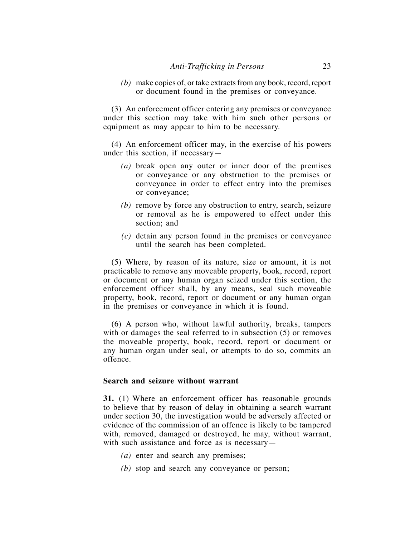*(b)* make copies of, or take extracts from any book, record, report or document found in the premises or conveyance.

(3) An enforcement officer entering any premises or conveyance under this section may take with him such other persons or equipment as may appear to him to be necessary.

(4) An enforcement officer may, in the exercise of his powers under this section, if necessary—

- *(a)* break open any outer or inner door of the premises or conveyance or any obstruction to the premises or conveyance in order to effect entry into the premises or conveyance;
- *(b)* remove by force any obstruction to entry, search, seizure or removal as he is empowered to effect under this section; and
- *(c)* detain any person found in the premises or conveyance until the search has been completed.

(5) Where, by reason of its nature, size or amount, it is not practicable to remove any moveable property, book, record, report or document or any human organ seized under this section, the enforcement officer shall, by any means, seal such moveable property, book, record, report or document or any human organ in the premises or conveyance in which it is found.

(6) A person who, without lawful authority, breaks, tampers with or damages the seal referred to in subsection  $(5)$  or removes the moveable property, book, record, report or document or any human organ under seal, or attempts to do so, commits an offence.

## **Search and seizure without warrant**

**31.** (1) Where an enforcement officer has reasonable grounds to believe that by reason of delay in obtaining a search warrant under section 30, the investigation would be adversely affected or evidence of the commission of an offence is likely to be tampered with, removed, damaged or destroyed, he may, without warrant, with such assistance and force as is necessary—

- *(a)* enter and search any premises;
- *(b)* stop and search any conveyance or person;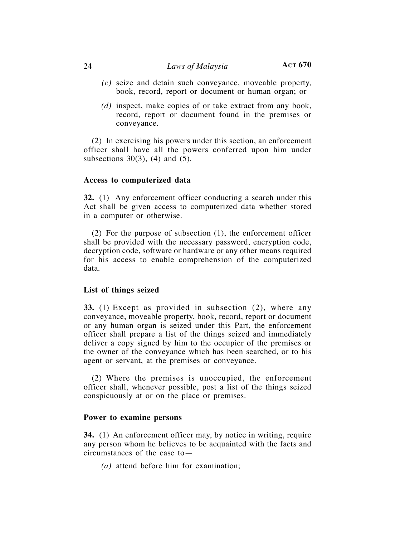## 24 *Laws of Malaysia* **ACT 670**

- *(c)* seize and detain such conveyance, moveable property, book, record, report or document or human organ; or
- *(d)* inspect, make copies of or take extract from any book, record, report or document found in the premises or conveyance.

(2) In exercising his powers under this section, an enforcement officer shall have all the powers conferred upon him under subsections  $30(3)$ , (4) and (5).

#### **Access to computerized data**

**32.** (1) Any enforcement officer conducting a search under this Act shall be given access to computerized data whether stored in a computer or otherwise.

(2) For the purpose of subsection (1), the enforcement officer shall be provided with the necessary password, encryption code, decryption code, software or hardware or any other means required for his access to enable comprehension of the computerized data.

## **List of things seized**

**33.** (1) Except as provided in subsection (2), where any conveyance, moveable property, book, record, report or document or any human organ is seized under this Part, the enforcement officer shall prepare a list of the things seized and immediately deliver a copy signed by him to the occupier of the premises or the owner of the conveyance which has been searched, or to his agent or servant, at the premises or conveyance.

(2) Where the premises is unoccupied, the enforcement officer shall, whenever possible, post a list of the things seized conspicuously at or on the place or premises.

## **Power to examine persons**

**34.** (1) An enforcement officer may, by notice in writing, require any person whom he believes to be acquainted with the facts and circumstances of the case to—

*(a)* attend before him for examination;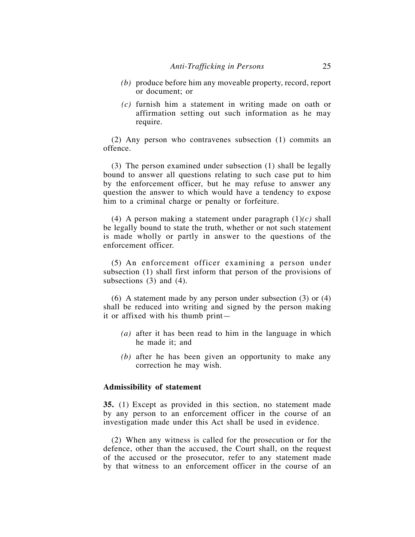- *(b)* produce before him any moveable property, record, report or document; or
- *(c)* furnish him a statement in writing made on oath or affirmation setting out such information as he may require.

(2) Any person who contravenes subsection (1) commits an offence.

(3) The person examined under subsection (1) shall be legally bound to answer all questions relating to such case put to him by the enforcement officer, but he may refuse to answer any question the answer to which would have a tendency to expose him to a criminal charge or penalty or forfeiture.

(4) A person making a statement under paragraph (1)*(c)* shall be legally bound to state the truth, whether or not such statement is made wholly or partly in answer to the questions of the enforcement officer.

(5) An enforcement officer examining a person under subsection (1) shall first inform that person of the provisions of subsections (3) and (4).

(6) A statement made by any person under subsection (3) or (4) shall be reduced into writing and signed by the person making it or affixed with his thumb print—

- *(a)* after it has been read to him in the language in which he made it; and
- *(b)* after he has been given an opportunity to make any correction he may wish.

#### **Admissibility of statement**

**35.** (1) Except as provided in this section, no statement made by any person to an enforcement officer in the course of an investigation made under this Act shall be used in evidence.

(2) When any witness is called for the prosecution or for the defence, other than the accused, the Court shall, on the request of the accused or the prosecutor, refer to any statement made by that witness to an enforcement officer in the course of an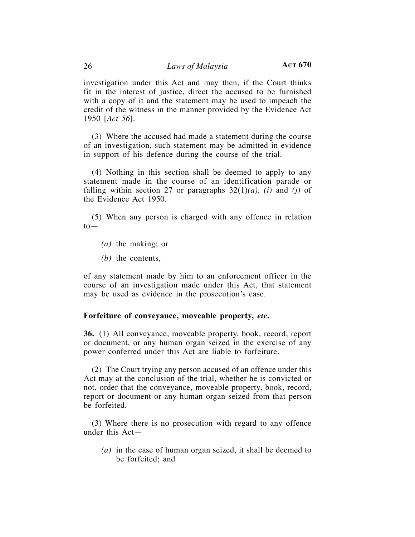investigation under this Act and may then, if the Court thinks fit in the interest of justice, direct the accused to be furnished with a copy of it and the statement may be used to impeach the credit of the witness in the manner provided by the Evidence Act 1950 [*Act 56*].

(3) Where the accused had made a statement during the course of an investigation, such statement may be admitted in evidence in support of his defence during the course of the trial.

(4) Nothing in this section shall be deemed to apply to any statement made in the course of an identification parade or falling within section 27 or paragraphs 32(1)*(a), (i)* and *(j)* of the Evidence Act 1950.

(5) When any person is charged with any offence in relation  $to$ —

*(a)* the making; or

*(b)* the contents,

of any statement made by him to an enforcement officer in the course of an investigation made under this Act, that statement may be used as evidence in the prosecution's case.

#### **Forfeiture of conveyance, moveable property,** *etc***.**

**36.** (1) All conveyance, moveable property, book, record, report or document, or any human organ seized in the exercise of any power conferred under this Act are liable to forfeiture.

(2) The Court trying any person accused of an offence under this Act may at the conclusion of the trial, whether he is convicted or not, order that the conveyance, moveable property, book, record, report or document or any human organ seized from that person be forfeited.

(3) Where there is no prosecution with regard to any offence under this Act—

*(a)* in the case of human organ seized, it shall be deemed to be forfeited; and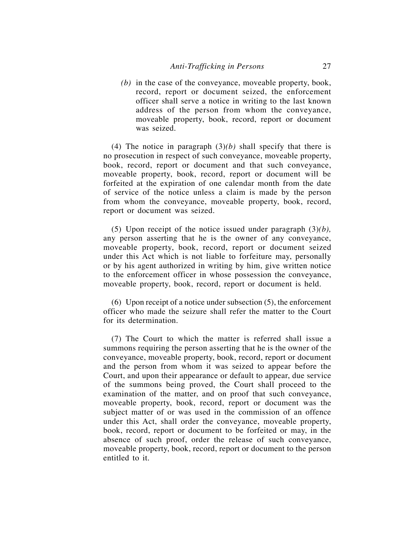*(b)* in the case of the conveyance, moveable property, book, record, report or document seized, the enforcement officer shall serve a notice in writing to the last known address of the person from whom the conveyance, moveable property, book, record, report or document was seized.

(4) The notice in paragraph  $(3)(b)$  shall specify that there is no prosecution in respect of such conveyance, moveable property, book, record, report or document and that such conveyance, moveable property, book, record, report or document will be forfeited at the expiration of one calendar month from the date of service of the notice unless a claim is made by the person from whom the conveyance, moveable property, book, record, report or document was seized.

(5) Upon receipt of the notice issued under paragraph (3)*(b),*  any person asserting that he is the owner of any conveyance, moveable property, book, record, report or document seized under this Act which is not liable to forfeiture may, personally or by his agent authorized in writing by him, give written notice to the enforcement officer in whose possession the conveyance, moveable property, book, record, report or document is held.

(6) Upon receipt of a notice under subsection (5), the enforcement officer who made the seizure shall refer the matter to the Court for its determination.

(7) The Court to which the matter is referred shall issue a summons requiring the person asserting that he is the owner of the conveyance, moveable property, book, record, report or document and the person from whom it was seized to appear before the Court, and upon their appearance or default to appear, due service of the summons being proved, the Court shall proceed to the examination of the matter, and on proof that such conveyance, moveable property, book, record, report or document was the subject matter of or was used in the commission of an offence under this Act, shall order the conveyance, moveable property, book, record, report or document to be forfeited or may, in the absence of such proof, order the release of such conveyance, moveable property, book, record, report or document to the person entitled to it.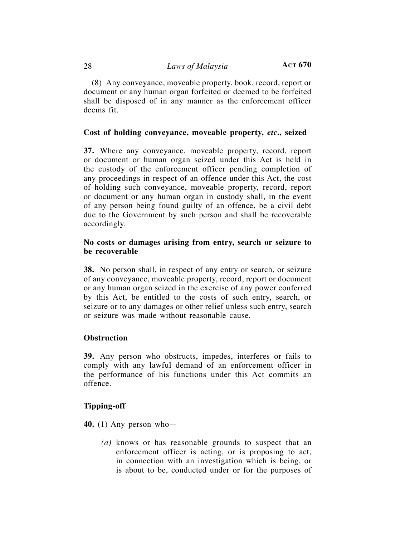(8) Any conveyance, moveable property, book, record, report or document or any human organ forfeited or deemed to be forfeited shall be disposed of in any manner as the enforcement officer deems fit.

## **Cost of holding conveyance, moveable property,** *etc***., seized**

**37.** Where any conveyance, moveable property, record, report or document or human organ seized under this Act is held in the custody of the enforcement officer pending completion of any proceedings in respect of an offence under this Act, the cost of holding such conveyance, moveable property, record, report or document or any human organ in custody shall, in the event of any person being found guilty of an offence, be a civil debt due to the Government by such person and shall be recoverable accordingly.

## **No costs or damages arising from entry, search or seizure to be recoverable**

**38.** No person shall, in respect of any entry or search, or seizure of any conveyance, moveable property, record, report or document or any human organ seized in the exercise of any power conferred by this Act, be entitled to the costs of such entry, search, or seizure or to any damages or other relief unless such entry, search or seizure was made without reasonable cause.

#### **Obstruction**

**39.** Any person who obstructs, impedes, interferes or fails to comply with any lawful demand of an enforcement officer in the performance of his functions under this Act commits an offence.

## **Tipping-off**

**40.** (1) Any person who—

*(a)* knows or has reasonable grounds to suspect that an enforcement officer is acting, or is proposing to act, in connection with an investigation which is being, or is about to be, conducted under or for the purposes of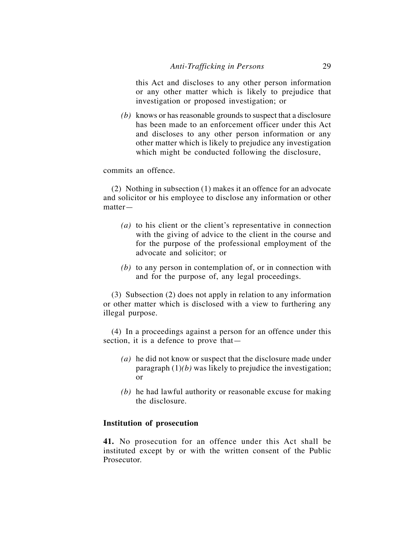this Act and discloses to any other person information or any other matter which is likely to prejudice that investigation or proposed investigation; or

*(b)* knows or has reasonable grounds to suspect that a disclosure has been made to an enforcement officer under this Act and discloses to any other person information or any other matter which is likely to prejudice any investigation which might be conducted following the disclosure,

commits an offence.

(2) Nothing in subsection (1) makes it an offence for an advocate and solicitor or his employee to disclose any information or other matter—

- *(a)* to his client or the client's representative in connection with the giving of advice to the client in the course and for the purpose of the professional employment of the advocate and solicitor; or
- *(b)* to any person in contemplation of, or in connection with and for the purpose of, any legal proceedings.

(3) Subsection (2) does not apply in relation to any information or other matter which is disclosed with a view to furthering any illegal purpose.

(4) In a proceedings against a person for an offence under this section, it is a defence to prove that—

- *(a)* he did not know or suspect that the disclosure made under paragraph (1)*(b)* was likely to prejudice the investigation; or
- *(b)* he had lawful authority or reasonable excuse for making the disclosure.

## **Institution of prosecution**

**41.** No prosecution for an offence under this Act shall be instituted except by or with the written consent of the Public Prosecutor.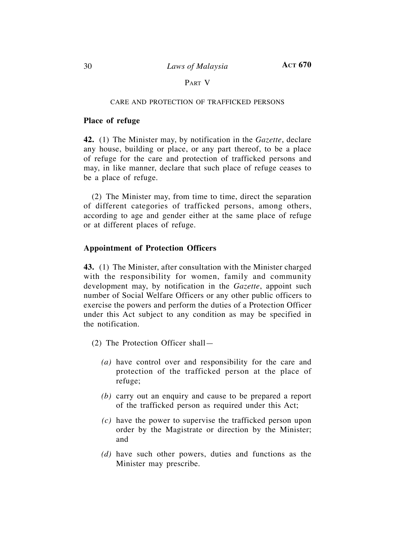## PART V

#### CARE AND PROTECTION OF TRAFFICKED PERSONS

## **Place of refuge**

**42.** (1) The Minister may, by notification in the *Gazette*, declare any house, building or place, or any part thereof, to be a place of refuge for the care and protection of trafficked persons and may, in like manner, declare that such place of refuge ceases to be a place of refuge.

(2) The Minister may, from time to time, direct the separation of different categories of trafficked persons, among others, according to age and gender either at the same place of refuge or at different places of refuge.

## **Appointment of Protection Officers**

**43.** (1) The Minister, after consultation with the Minister charged with the responsibility for women, family and community development may, by notification in the *Gazette*, appoint such number of Social Welfare Officers or any other public officers to exercise the powers and perform the duties of a Protection Officer under this Act subject to any condition as may be specified in the notification.

- (2) The Protection Officer shall—
	- *(a)* have control over and responsibility for the care and protection of the trafficked person at the place of refuge;
	- *(b)* carry out an enquiry and cause to be prepared a report of the trafficked person as required under this Act;
	- *(c)* have the power to supervise the trafficked person upon order by the Magistrate or direction by the Minister; and
	- *(d)* have such other powers, duties and functions as the Minister may prescribe.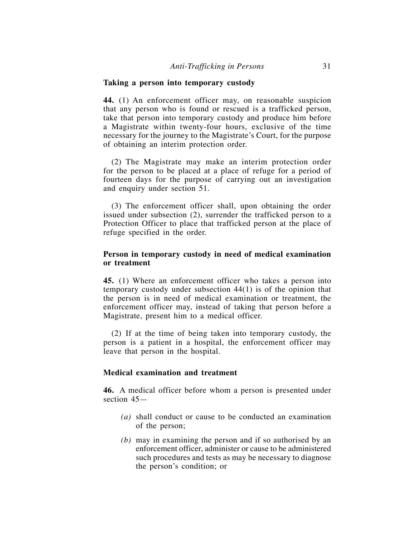## **Taking a person into temporary custody**

**44.** (1) An enforcement officer may, on reasonable suspicion that any person who is found or rescued is a trafficked person, take that person into temporary custody and produce him before a Magistrate within twenty-four hours, exclusive of the time necessary for the journey to the Magistrate's Court, for the purpose of obtaining an interim protection order.

(2) The Magistrate may make an interim protection order for the person to be placed at a place of refuge for a period of fourteen days for the purpose of carrying out an investigation and enquiry under section 51.

(3) The enforcement officer shall, upon obtaining the order issued under subsection (2), surrender the trafficked person to a Protection Officer to place that trafficked person at the place of refuge specified in the order.

## **Person in temporary custody in need of medical examination or treatment**

**45.** (1) Where an enforcement officer who takes a person into temporary custody under subsection 44(1) is of the opinion that the person is in need of medical examination or treatment, the enforcement officer may, instead of taking that person before a Magistrate, present him to a medical officer.

(2) If at the time of being taken into temporary custody, the person is a patient in a hospital, the enforcement officer may leave that person in the hospital.

## **Medical examination and treatment**

**46.** A medical officer before whom a person is presented under section 45—

- *(a)* shall conduct or cause to be conducted an examination of the person;
- *(b)* may in examining the person and if so authorised by an enforcement officer, administer or cause to be administered such procedures and tests as may be necessary to diagnose the person's condition; or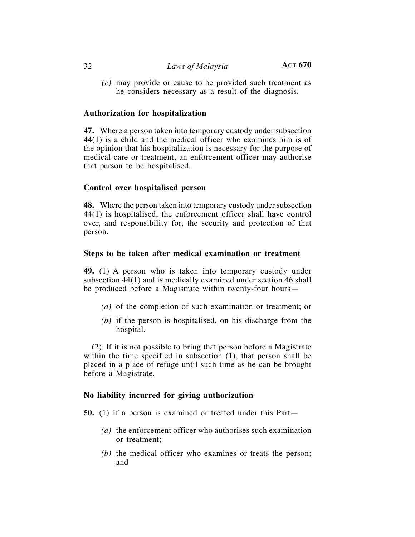*(c)* may provide or cause to be provided such treatment as he considers necessary as a result of the diagnosis.

## **Authorization for hospitalization**

**47.** Where a person taken into temporary custody under subsection 44(1) is a child and the medical officer who examines him is of the opinion that his hospitalization is necessary for the purpose of medical care or treatment, an enforcement officer may authorise that person to be hospitalised.

## **Control over hospitalised person**

**48.** Where the person taken into temporary custody under subsection 44(1) is hospitalised, the enforcement officer shall have control over, and responsibility for, the security and protection of that person.

## **Steps to be taken after medical examination or treatment**

**49.** (1) A person who is taken into temporary custody under subsection 44(1) and is medically examined under section 46 shall be produced before a Magistrate within twenty-four hours—

- *(a)* of the completion of such examination or treatment; or
- *(b)* if the person is hospitalised, on his discharge from the hospital.

(2) If it is not possible to bring that person before a Magistrate within the time specified in subsection (1), that person shall be placed in a place of refuge until such time as he can be brought before a Magistrate.

## **No liability incurred for giving authorization**

**50.** (1) If a person is examined or treated under this Part—

- *(a)* the enforcement officer who authorises such examination or treatment;
- *(b)* the medical officer who examines or treats the person; and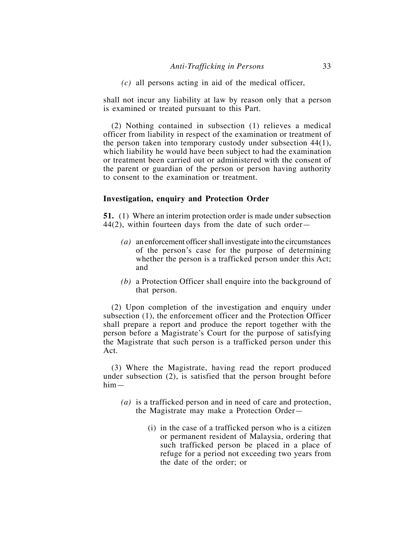*(c)* all persons acting in aid of the medical officer,

shall not incur any liability at law by reason only that a person is examined or treated pursuant to this Part.

(2) Nothing contained in subsection (1) relieves a medical officer from liability in respect of the examination or treatment of the person taken into temporary custody under subsection 44(1), which liability he would have been subject to had the examination or treatment been carried out or administered with the consent of the parent or guardian of the person or person having authority to consent to the examination or treatment.

## **Investigation, enquiry and Protection Order**

**51.** (1) Where an interim protection order is made under subsection 44(2), within fourteen days from the date of such order—

- *(a)* an enforcement officer shall investigate into the circumstances of the person's case for the purpose of determining whether the person is a trafficked person under this Act; and
- *(b)* a Protection Officer shall enquire into the background of that person.

(2) Upon completion of the investigation and enquiry under subsection (1), the enforcement officer and the Protection Officer shall prepare a report and produce the report together with the person before a Magistrate's Court for the purpose of satisfying the Magistrate that such person is a trafficked person under this Act.

(3) Where the Magistrate, having read the report produced under subsection (2), is satisfied that the person brought before him—

- *(a)* is a trafficked person and in need of care and protection, the Magistrate may make a Protection Order—
	- (i) in the case of a trafficked person who is a citizen or permanent resident of Malaysia, ordering that such trafficked person be placed in a place of refuge for a period not exceeding two years from the date of the order; or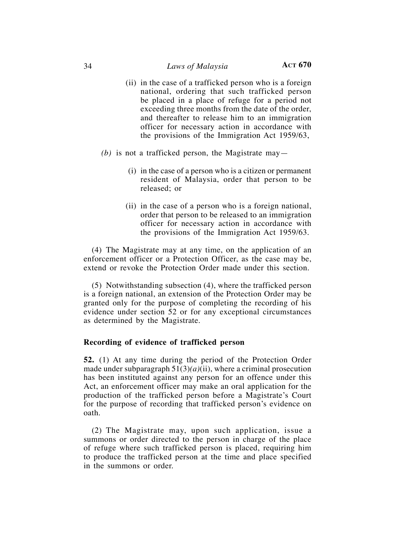- (ii) in the case of a trafficked person who is a foreign national, ordering that such trafficked person be placed in a place of refuge for a period not exceeding three months from the date of the order, and thereafter to release him to an immigration officer for necessary action in accordance with the provisions of the Immigration Act 1959/63,
- *(b)* is not a trafficked person, the Magistrate may—
	- (i) in the case of a person who is a citizen or permanent resident of Malaysia, order that person to be released; or
	- (ii) in the case of a person who is a foreign national, order that person to be released to an immigration officer for necessary action in accordance with the provisions of the Immigration Act 1959/63.

(4) The Magistrate may at any time, on the application of an enforcement officer or a Protection Officer, as the case may be, extend or revoke the Protection Order made under this section.

(5) Notwithstanding subsection (4), where the trafficked person is a foreign national, an extension of the Protection Order may be granted only for the purpose of completing the recording of his evidence under section 52 or for any exceptional circumstances as determined by the Magistrate.

#### **Recording of evidence of trafficked person**

**52.** (1) At any time during the period of the Protection Order made under subparagraph 51(3)*(a)*(ii), where a criminal prosecution has been instituted against any person for an offence under this Act, an enforcement officer may make an oral application for the production of the trafficked person before a Magistrate's Court for the purpose of recording that trafficked person's evidence on oath.

(2) The Magistrate may, upon such application, issue a summons or order directed to the person in charge of the place of refuge where such trafficked person is placed, requiring him to produce the trafficked person at the time and place specified in the summons or order.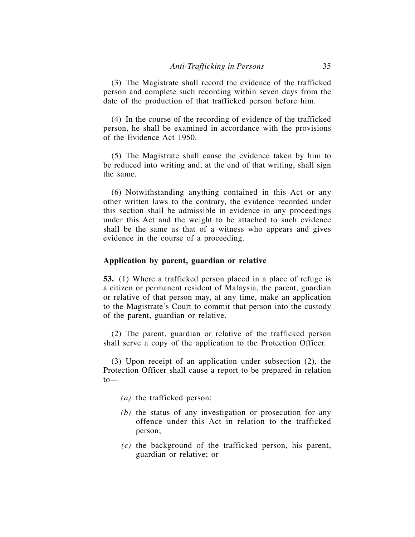(3) The Magistrate shall record the evidence of the trafficked person and complete such recording within seven days from the date of the production of that trafficked person before him.

(4) In the course of the recording of evidence of the trafficked person, he shall be examined in accordance with the provisions of the Evidence Act 1950.

(5) The Magistrate shall cause the evidence taken by him to be reduced into writing and, at the end of that writing, shall sign the same.

(6) Notwithstanding anything contained in this Act or any other written laws to the contrary, the evidence recorded under this section shall be admissible in evidence in any proceedings under this Act and the weight to be attached to such evidence shall be the same as that of a witness who appears and gives evidence in the course of a proceeding.

## **Application by parent, guardian or relative**

**53.** (1) Where a trafficked person placed in a place of refuge is a citizen or permanent resident of Malaysia, the parent, guardian or relative of that person may, at any time, make an application to the Magistrate's Court to commit that person into the custody of the parent, guardian or relative.

(2) The parent, guardian or relative of the trafficked person shall serve a copy of the application to the Protection Officer.

(3) Upon receipt of an application under subsection (2), the Protection Officer shall cause a report to be prepared in relation  $to-$ 

- *(a)* the trafficked person;
- *(b)* the status of any investigation or prosecution for any offence under this Act in relation to the trafficked person;
- *(c)* the background of the trafficked person, his parent, guardian or relative; or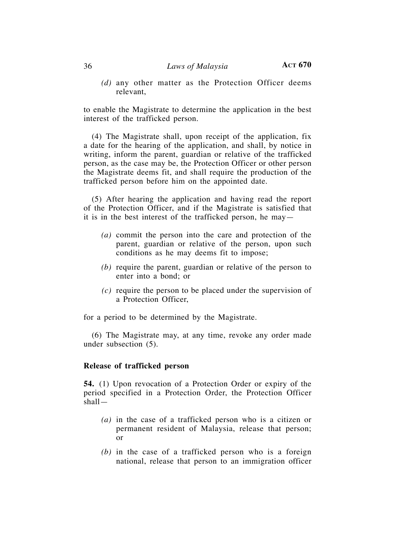*(d)* any other matter as the Protection Officer deems relevant,

to enable the Magistrate to determine the application in the best interest of the trafficked person.

(4) The Magistrate shall, upon receipt of the application, fix a date for the hearing of the application, and shall, by notice in writing, inform the parent, guardian or relative of the trafficked person, as the case may be, the Protection Officer or other person the Magistrate deems fit, and shall require the production of the trafficked person before him on the appointed date.

(5) After hearing the application and having read the report of the Protection Officer, and if the Magistrate is satisfied that it is in the best interest of the trafficked person, he may—

- *(a)* commit the person into the care and protection of the parent, guardian or relative of the person, upon such conditions as he may deems fit to impose;
- *(b)* require the parent, guardian or relative of the person to enter into a bond; or
- *(c)* require the person to be placed under the supervision of a Protection Officer,

for a period to be determined by the Magistrate.

(6) The Magistrate may, at any time, revoke any order made under subsection (5).

## **Release of trafficked person**

**54.** (1) Upon revocation of a Protection Order or expiry of the period specified in a Protection Order, the Protection Officer shall—

- *(a)* in the case of a trafficked person who is a citizen or permanent resident of Malaysia, release that person; or
- *(b)* in the case of a trafficked person who is a foreign national, release that person to an immigration officer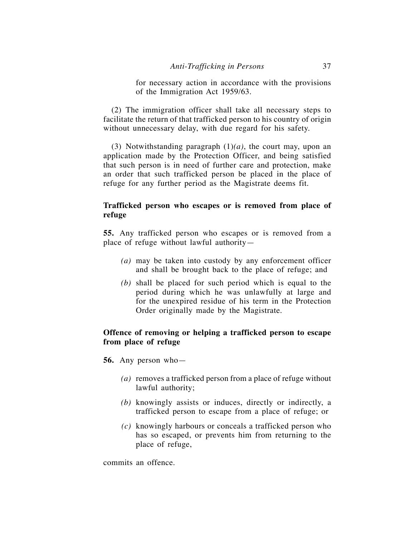for necessary action in accordance with the provisions of the Immigration Act 1959/63.

(2) The immigration officer shall take all necessary steps to facilitate the return of that trafficked person to his country of origin without unnecessary delay, with due regard for his safety.

(3) Notwithstanding paragraph (1)*(a)*, the court may, upon an application made by the Protection Officer, and being satisfied that such person is in need of further care and protection, make an order that such trafficked person be placed in the place of refuge for any further period as the Magistrate deems fit.

## **Trafficked person who escapes or is removed from place of refuge**

**55.** Any trafficked person who escapes or is removed from a place of refuge without lawful authority—

- *(a)* may be taken into custody by any enforcement officer and shall be brought back to the place of refuge; and
- *(b)* shall be placed for such period which is equal to the period during which he was unlawfully at large and for the unexpired residue of his term in the Protection Order originally made by the Magistrate.

## **Offence of removing or helping a trafficked person to escape from place of refuge**

**56.** Any person who—

- *(a)* removes a trafficked person from a place of refuge without lawful authority;
- *(b)* knowingly assists or induces, directly or indirectly, a trafficked person to escape from a place of refuge; or
- *(c)* knowingly harbours or conceals a trafficked person who has so escaped, or prevents him from returning to the place of refuge,

commits an offence.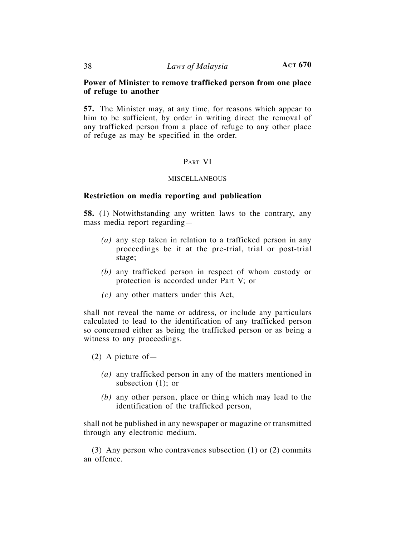## **Power of Minister to remove trafficked person from one place of refuge to another**

**57.** The Minister may, at any time, for reasons which appear to him to be sufficient, by order in writing direct the removal of any trafficked person from a place of refuge to any other place of refuge as may be specified in the order.

## PART VI

#### MISCELLANEOUS

## **Restriction on media reporting and publication**

**58.** (1) Notwithstanding any written laws to the contrary, any mass media report regarding—

- *(a)* any step taken in relation to a trafficked person in any proceedings be it at the pre-trial, trial or post-trial stage;
- *(b)* any trafficked person in respect of whom custody or protection is accorded under Part V; or
- *(c)* any other matters under this Act,

shall not reveal the name or address, or include any particulars calculated to lead to the identification of any trafficked person so concerned either as being the trafficked person or as being a witness to any proceedings.

(2) A picture of—

- *(a)* any trafficked person in any of the matters mentioned in subsection (1); or
- *(b)* any other person, place or thing which may lead to the identification of the trafficked person,

shall not be published in any newspaper or magazine or transmitted through any electronic medium.

(3) Any person who contravenes subsection (1) or (2) commits an offence.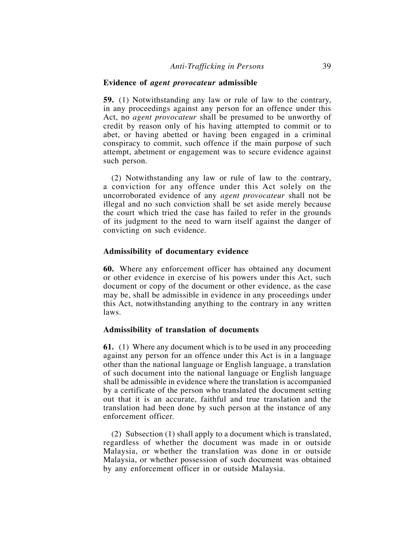#### **Evidence of** *agent provocateur* **admissible**

**59.** (1) Notwithstanding any law or rule of law to the contrary, in any proceedings against any person for an offence under this Act, no *agent provocateur* shall be presumed to be unworthy of credit by reason only of his having attempted to commit or to abet, or having abetted or having been engaged in a criminal conspiracy to commit, such offence if the main purpose of such attempt, abetment or engagement was to secure evidence against such person.

(2) Notwithstanding any law or rule of law to the contrary, a conviction for any offence under this Act solely on the uncorroborated evidence of any *agent provocateur* shall not be illegal and no such conviction shall be set aside merely because the court which tried the case has failed to refer in the grounds of its judgment to the need to warn itself against the danger of convicting on such evidence.

#### **Admissibility of documentary evidence**

**60.** Where any enforcement officer has obtained any document or other evidence in exercise of his powers under this Act, such document or copy of the document or other evidence, as the case may be, shall be admissible in evidence in any proceedings under this Act, notwithstanding anything to the contrary in any written laws.

#### **Admissibility of translation of documents**

**61.** (1) Where any document which is to be used in any proceeding against any person for an offence under this Act is in a language other than the national language or English language, a translation of such document into the national language or English language shall be admissible in evidence where the translation is accompanied by a certificate of the person who translated the document setting out that it is an accurate, faithful and true translation and the translation had been done by such person at the instance of any enforcement officer.

(2) Subsection (1) shall apply to a document which is translated, regardless of whether the document was made in or outside Malaysia, or whether the translation was done in or outside Malaysia, or whether possession of such document was obtained by any enforcement officer in or outside Malaysia.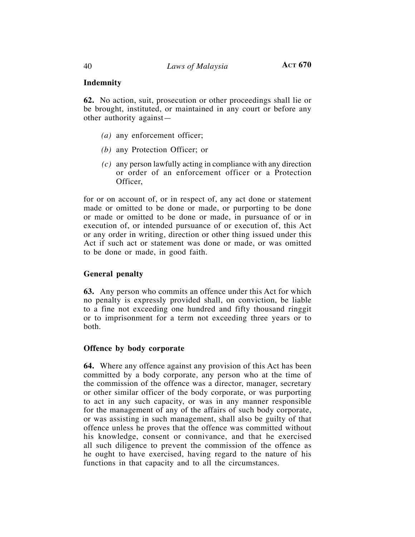## **Indemnity**

**62.** No action, suit, prosecution or other proceedings shall lie or be brought, instituted, or maintained in any court or before any other authority against—

- *(a)* any enforcement officer;
- *(b)* any Protection Officer; or
- *(c)* any person lawfully acting in compliance with any direction or order of an enforcement officer or a Protection Officer,

for or on account of, or in respect of, any act done or statement made or omitted to be done or made, or purporting to be done or made or omitted to be done or made, in pursuance of or in execution of, or intended pursuance of or execution of, this Act or any order in writing, direction or other thing issued under this Act if such act or statement was done or made, or was omitted to be done or made, in good faith.

## **General penalty**

**63.** Any person who commits an offence under this Act for which no penalty is expressly provided shall, on conviction, be liable to a fine not exceeding one hundred and fifty thousand ringgit or to imprisonment for a term not exceeding three years or to both.

## **Offence by body corporate**

**64.** Where any offence against any provision of this Act has been committed by a body corporate, any person who at the time of the commission of the offence was a director, manager, secretary or other similar officer of the body corporate, or was purporting to act in any such capacity, or was in any manner responsible for the management of any of the affairs of such body corporate, or was assisting in such management, shall also be guilty of that offence unless he proves that the offence was committed without his knowledge, consent or connivance, and that he exercised all such diligence to prevent the commission of the offence as he ought to have exercised, having regard to the nature of his functions in that capacity and to all the circumstances.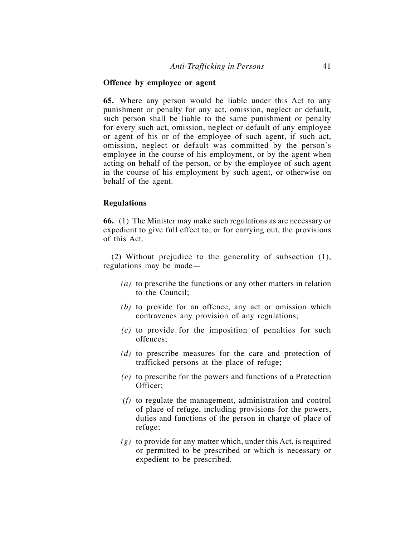## **Offence by employee or agent**

**65.** Where any person would be liable under this Act to any punishment or penalty for any act, omission, neglect or default, such person shall be liable to the same punishment or penalty for every such act, omission, neglect or default of any employee or agent of his or of the employee of such agent, if such act, omission, neglect or default was committed by the person's employee in the course of his employment, or by the agent when acting on behalf of the person, or by the employee of such agent in the course of his employment by such agent, or otherwise on behalf of the agent.

## **Regulations**

**66.** (1) The Minister may make such regulations as are necessary or expedient to give full effect to, or for carrying out, the provisions of this Act.

(2) Without prejudice to the generality of subsection (1), regulations may be made—

- *(a)* to prescribe the functions or any other matters in relation to the Council;
- *(b)* to provide for an offence, any act or omission which contravenes any provision of any regulations;
- *(c)* to provide for the imposition of penalties for such offences;
- *(d)* to prescribe measures for the care and protection of trafficked persons at the place of refuge;
- *(e)* to prescribe for the powers and functions of a Protection Officer;
- *(f)* to regulate the management, administration and control of place of refuge, including provisions for the powers, duties and functions of the person in charge of place of refuge;
- *(g)* to provide for any matter which, under this Act, is required or permitted to be prescribed or which is necessary or expedient to be prescribed.